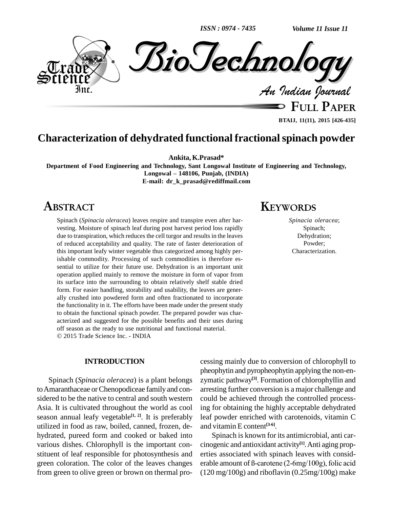*ISSN : 0974 - 7435*

*Volume 11 Issue 11*



**FULL PAPER BTAIJ, 11(11), 2015 [426-435]**

## **Characterization of dehydrated functional fractionalspinach powder**

**Ankita, K.Prasad\***

**Department of Food Engineering and Technology, Sant Longowal Institute of Engineering and Technology, Longowal <sup>ñ</sup> 148106, Punjab, (INDIA) E-mail: [dr\\_k\\_prasad@rediffmail.com](mailto:dr_k_prasad@rediffmail.com)**

## **ABSTRACT**

Spinach (*Spinacia oleracea*) leaves respire and transpire even after har vesting. Moisture of spinach leaf during post harvest period loss rapidly due to transpiration, which reduces the cell turgor and results in the leaves of reduced acceptability and quality. The rate of faster deterioration of this important leafy winter vegetable thus categorized among highly perishable commodity. Processing of such commodities is therefore essential to utilize for their future use. Dehydration is an important unit operation applied mainly to remove the moisture in form of vapor from its surface into the surrounding to obtain relatively shelf stable dried form. For easier handling, storability and usability, the leaves are gener ally crushed into powdered form and often fractionated to incorporate the functionality in it. The efforts have been made under the present study to obtain the functional spinach powder. The prepared powder was char acterized and suggested for the possible benefits and their uses during off season as the ready to use nutritional and functional material. 2015 Trade Science Inc. - INDIA

#### **INTRODUCTION**

Spinach (*Spinacia oleracea*) is a plant belongs toAmaranthaceae orChenopodiceae family and con sidered to be the native to central and south western Asia. It is cultivated throughout the world as cool season annual leafy vegetable<sup>[1, 2]</sup>. It is preferably leaf po utilized in food as raw, boiled, canned, frozen, de hydrated, pureed form and cooked or baked into various dishes. Chlorophyll is the important con stituent of leaf responsible for photosynthesis and green coloration. The color of the leaves changes from green to olive green or brown on thermal pro-

# **KEYWORDS**

*Spinacia oleracea*; Spinach; Dehydration; Powder; Characterization.

cessing mainly due to conversion of chlorophyll to pheophytin and pyropheophytin applying the non-en zymatic pathway **[3]**. Formation of chlorophyllin and arresting further conversion isa major challenge and could be achieved through the controlled processing for obtaining the highly acceptable dehydrated leaf powder enriched with carotenoids, vitamin C and vitamin E content **[3-6]**.

Spinach isknown for its antimicrobial, anti car cinogenic and antioxidant activity **[1]**.Anti aging prop erties associated with spinach leaves with consid erable amount of ß-carotene (2-6mg/100g), folic acid  $(120 \text{ mg}/100 \text{g})$  and riboflavin  $(0.25 \text{ mg}/100 \text{g})$  make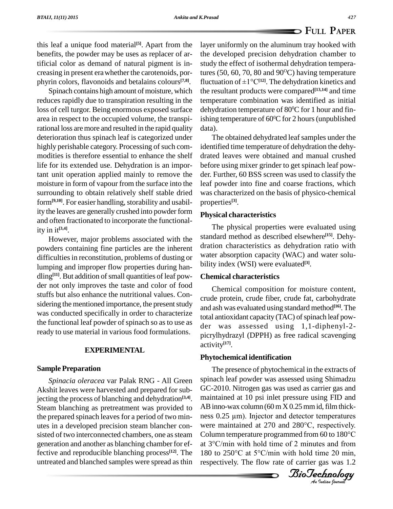this leaf a unique food material<sup>[5]</sup>. Apart from the layer un benefits, the powder may be uses as replacer of artificial color as demand of natural pigment is increasing in present erawhether the carotenoids, por phyrin colors, flavonoids and betalains colours **[7,8]**.

Spinach contains high amount of moisture, which reduces rapidly due to transpiration resulting in the loss of cell turgor. Being enormous exposed surface area in respect to the occupied volume, the transpirational loss aremore and resulted in the rapid quality deterioration thus spinach leaf is categorized under highly perishable category. Processing of such commodities is therefore essential to enhance the shelf life for its extended use. Dehydration is an important unit operation applied mainly to remove the moisture in form of vapour from the surface into the surrounding to obtain relatively shelf stable dried form<sup>[9,10]</sup>. For easier handling, storability and usability the leaves are generally crushed into powder form and often fractionated to incorporate the functionality in it **[3,4]**.

However, major problems associated with the powders containing fine particles are the inherent difficulties in reconstitution, problems of dusting or lumping and improper flow properties during han dling<sup>[11]</sup>. But addition of small quantities of leaf pow- **Cho** der not only improves the taste and color of food stuffs but also enhance the nutritional values. Con sidering the mentioned importance, the present study was conducted specifically in order to characterize the functional leaf powder of spinach so as to use as ready to use material in various food formulations.

#### **EXPERIMENTAL**

#### **Sample Preparation**

*Spinacia oleracea* var Palak RNG - All Green Akshit leaves were harvested and prepared for subjecting the process of blanching and dehydration **[3,4]**. Steam blanching as pretreatment was provided to the prepared spinach leaves for a period of two min-<br>ness  $0.25 \mu m$ ). Injector and detector temperatures utes in a developed precision steam blancher con sisted of two interconnected chambers, one as steam generation and another as blanching chamber for effective and reproducible blanching process **[12]**. The untreated and blanched samples were spread asthin

layer uniformly on the aluminum tray hooked with the developed precision dehydration chamber to study the effect of isothermal dehydration temperatures (50, 60, 70, 80 and  $90^{\circ}$ C) having temperature fluctuation of  $\pm 1^{\circ}C^{[12]}$ . The dehydration kinetics and the resultant products were compared **[13,14]** and time temperature combination was identified as initial dehydration temperature of 80 <sup>0</sup>C for 1 hour and finishing temperature of 60 <sup>0</sup>C for 2 hours(unpublished data).

The obtained dehydrated leaf samples under the identified time temperature of dehydration the dehy drated leaves were obtained and manual crushed before using mixer grinder to get spinach leaf pow der. Further, 60 BSS screen was used to classify the leaf powder into fine and coarse fractions, which was characterized on the basis of physico-chemical properties **[3]**.

#### **Physical characteristics**

The physical properties were evaluated using standard method as described elsewhere **[15]**. Dehy dration characteristics as dehydration ratio with water absorption capacity (WAC) and water solu bility index (WSI) were evaluated **[3]**.

#### **Chemical characteristics**

Chemical composition for moisture content, crude protein, crude fiber, crude fat, carbohydrate and ash was evaluated using standard method **[16]**.The total antioxidant capacity (TAC) of spinach leaf powder was assessed using 1,1-diphenyl-2 picrylhydrazyl (DPPH) as free radical scavenging activity **[17]**.

#### **Phytochemical identification**

maintained at 10 psi inlet pressure using FID and<br>AB inno-wax column (60 m X 0.25 mm id, film thick-<br>ness 0.25  $\mu$ m). Injector and detector temperatures<br>were maintained at 270 and 280°C, respectively. were maintained at 270 and 280°C, respectively. at 3°C/min with hold time of 2 minutes and from<br>180 to 250°C at 5°C/min with hold time 20 min,<br>respectively. The flow rate of carrier gas was 1.2<br>*BioTechnology* The presence of phytochemical in the extracts of spinach leaf powder was assessed using Shimadzu GC-2010. Nitrogen gas was used as carrier gas and maintained at 10 psi inlet pressure using FID and<br>AB inno-wax column (60 m X 0.25 mm id, film thick-<br>ness 0.25 µm). Injector and detector temperatures ness 0.25 µm). Injector and detector temperatures<br>were maintained at 270 and 280°C, respectively.<br>Column temperature programmed from 60 to 180°C were maintained at 270 and 280°C, respectively.<br>Column temperature programmed from 60 to 180°C<br>at 3°C/min with hold time of 2 minutes and from Column temperature programmed from 60 to 180°C<br>at  $3^{\circ}$ C/min with hold time of 2 minutes and from<br>180 to 250°C at  $5^{\circ}$ C/min with hold time 20 min, respectively. The flow rate of carrier gas was 1.2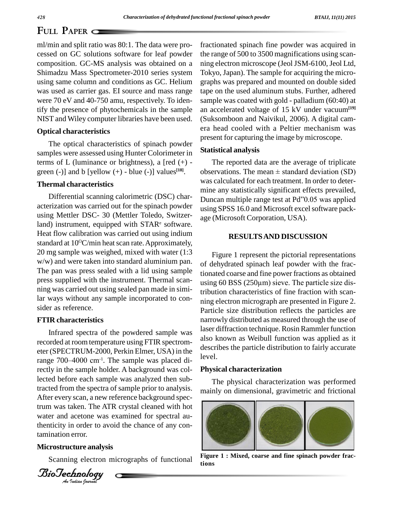ml/min and split ratio was 80:1. The data were pro cessed on GC solutions software for leaf powder composition. GC-MS analysis was obtained on a Shimadzu Mass Spectrometer-2010 series system using same column and conditions as GC. Helium was used as carrier gas. EI source and mass range were 70 eV and 40-750 amu, respectively. To identify the presence of phytochemicals in the sample NIST and Wiley computer libraries have been used.

#### **Optical characteristics**

The optical characteristics of spinach powder samples were assessed using Hunter Colorimeter in terms of L (luminance or brightness), a  $\lceil \text{red } (+) - \rceil$ green  $(-)$ ] and b [yellow  $(+)$  - blue  $(-)$ ] values<sup>[18]</sup>.

#### **Thermal characteristics**

Differential scanning calorimetric (DSC) char acterization was carried out for the spinach powder using Mettler DSC- 30 (Mettler Toledo, Switzerland) instrument, equipped with  $STAR<sup>e</sup>$  software. Heat flow calibration was carried out using indium standard at 10<sup>o</sup>C/min heat scan rate. Approximately, 20 mg sample was weighed, mixed with water (1:3 w/w) and were taken into standard aluminium pan. The pan was press sealed with a lid using sample ning was carried out using sealed pan made in similar ways without any sample incorporated to con sider as reference.

#### **FTIR characteristics**

After every scan, a new reference background spectrum was taken. The ATR crystal cleaned with hot *Anti* thenticity in order to avoid the chance of any con-Infrared spectra of the powdered sample was recorded at room temperature using FTIR spectrom eter (SPECTRUM-2000, Perkin Elmer, USA) in the recorded at room temperature using FTIR spectrom-<br>eter (SPECTRUM-2000, Perkin Elmer, USA) in the<br>range 700–4000 cm<sup>-1</sup>. The sample was placed directly in the sample holder. A background was collected before each sample was analyzed then subtracted from the spectra of sample prior to analysis. After every scan, a new reference background specwater and acetone was examined for spectral autamination error.

#### **Microstructure analysis**

Scanning electron micrographs of functional

fractionated spinach fine powder was acquired in the range of 500 to 3500 magnifications using scan ning electron microscope (Jeol JSM-6100, Jeol Ltd, Tokyo, Japan). The sample for acquiring the micro graphs was prepared and mounted on double sided tape on the used aluminum stubs. Further, adhered sample was coated with gold - palladium (60:40) at an accelerated voltage of 15 kV under vacuum**[19]** (Suksomboon and Naivikul, 2006). A digital cam era head cooled with a Peltier mechanism was present for capturing the image by microscope.

#### **Statistical analysis**

The reported data are the average of triplicate observations. The mean  $\pm$  standard deviation (SD) was calculated for each treatment. In order to deter mine any statistically significant effects prevailed, Duncan multiple range test at Pd"0.05 was applied using SPSS 16.0 and Microsoft excel software package (Microsoft Corporation, USA).

#### **RESULTSAND DISCUSSION**

press supplied with the instrument. Thermal scan- $\frac{1}{2}$  using 60 BSS (250 $\mu$ m) sieve. The particle size dis-Figure 1 represent the pictorial representations of dehydrated spinach leaf powder with the fractionated coarse and fine power fractions as obtained of dehydrated spinach leaf powder with the fractionated coarse and fine power fractions as obtained using 60 BSS ( $250\mu$ m) sieve. The particle size distribution characteristics of fine fraction with scan ning electron micrograph are presented in Figure 2. Particle size distribution reflects the particles are narrowly distributed as measured through the use of laser diffraction technique.Rosin Rammler function also known as Weibull function was applied as it describes the particle distribution to fairly accurate level.

#### **Physical characterization**

The physical characterization was performed mainly on dimensional, gravimetric and frictional



**Figure 1 : Mixed, coarse and fine spinach powder fractions**

*Indian Journal*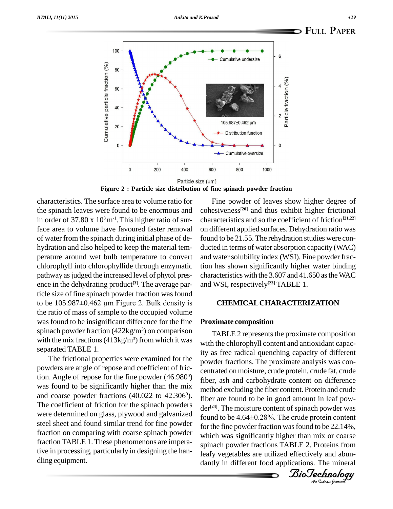

**Figure 2 : Particle size distribution of fine spinach powder fraction**

characteristics. The surface area to volume ratio for the spinach leaves were found to be enormous and in order of  $37.80 \times 10^3 \,\mathrm{m}^{-1}$ . This higher ratio of surface area to volume have favoured faster removal of water from the spinach during initial phase of de hydration and also helped to keep the material tem perature around wet bulb temperature to convert chlorophyll into chlorophyllide through enzymatic pathway as judged the increased level of phytol presence in the dehydrating product<sup>[3]</sup>. The average par-<br>ticle size of fine spinach powder fraction was found<br>to be 105.987±0.462 μm Figure 2. Bulk density is ticle size of fine spinach powder fraction was found the ratio of mass of sample to the occupied volume was found to be insignificant difference for the fine spinach powder fraction  $(422\text{kg/m}^3)$  on comparison with the mix fractions  $(413\text{kg/m}^3)$  from which it was separated TABLE 1.

The frictional properties were examined for the powders are angle of repose and coefficient of friction. Angle of repose for the fine powder (46.980 was found to be significantly higher than the mix and coarse powder fractions  $(40.022 \text{ to } 42.306^{\circ})$ . The coefficient of friction for the spinach powders were determined on glass, plywood and galvanized steel sheet and found similar trend for fine powder fraction on comparing with coarse spinach powder fraction TABLE 1.These phenomenons are imperative in processing, particularly in designing the han dling equipment.

Fine powder of leaves show higher degree of cohesiveness **[20]** and thus exhibit higher frictional characteristics and so the coefficient of friction **[21,22]** on different applied surfaces. Dehydration ratio was found to be 21.55. The rehydration studies were con ducted in terms of water absorption capacity (WAC) and water solubility index (WSI). Fine powder fraction has shown significantly higher water binding characteristics with the 3.607 and 41.650 as the WAC and WSI, respectively **[23]** TABLE 1.

#### **CHEMICALCHARACTERIZATION**

#### **Proximate composition**

fiber are found to be in good amount in leaf pow-<br>der<sup>[24]</sup> The moisture content of spinach powder was for the fine powder fraction was found to be 22.14%,  $^{0}$ ) fiber, ash and carbohydrate content on difference TABLE 2 represents the proximate composition with the chlorophyll content and antioxidant capacity as free radical quenching capacity of different powder fractions. The proximate analysis was con centrated on moisture, crude protein, crude fat, crude method excluding the fiber content. Protein and crude der<sup>[24]</sup>. The moisture content of spinach powder was found to be 4.64±0.28%. The crude protein content which was significantly higher than mix or coarse spinach powder fractions TABLE 2. Proteins from leafy vegetables are utilized effectively and abun dantly in different food applications. The mineral

*Indian Journal*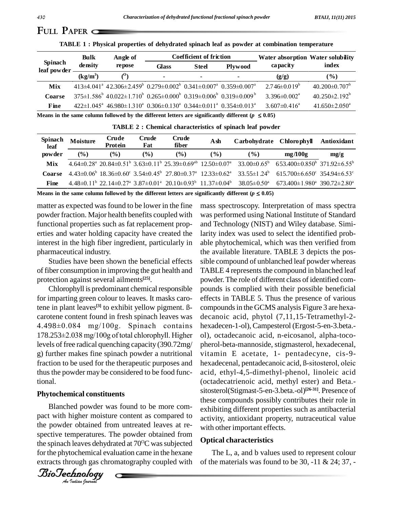|                        | <b>Bulk</b> | Angle of                                                                                                                                               |       | Coefficient of friction |                | Water absorption Water solubility |                                 |
|------------------------|-------------|--------------------------------------------------------------------------------------------------------------------------------------------------------|-------|-------------------------|----------------|-----------------------------------|---------------------------------|
| Spinach<br>leaf powder | density     | repose                                                                                                                                                 | Glass | <b>Steel</b>            | <b>Plywood</b> | capacity                          | index                           |
|                        | $(kg/m^3)$  | $\rho$                                                                                                                                                 |       | -                       | $\blacksquare$ | (g/g)                             | $($ %)                          |
| Mix                    |             | $413\pm4.041^{\circ}$ $42.306\pm2.459^{\circ}$ $0.279\pm0.002^{\circ}$ $0.341\pm0.007^{\circ}$ $0.359\pm0.007^{\circ}$                                 |       |                         |                | $2.746\pm0.019^b$                 | $40.200 \pm 0.707$ <sup>b</sup> |
| <b>Coarse</b>          |             | $375\pm1.586^{\circ}$ 40.022 $\pm$ 1.710 <sup>\v</sup> 0.265 $\pm$ 0.000 <sup>\v</sup> 0.319 $\pm$ 0.006 <sup>\v</sup> 0.319 $\pm$ 0.009 <sup>\v</sup> |       |                         |                | $3.396 \pm 0.002$ <sup>a</sup>    | $40.250 \pm 2.192^{\circ}$      |
| Fine                   |             | $422 \pm 1.045^{\circ}$ $46.980 \pm 1.310^{\circ}$ $0.306 \pm 0.130^{\circ}$ $0.344 \pm 0.011^{\circ}$ $0.354 \pm 0.013^{\circ}$                       |       |                         |                | $3.607\pm0.416^{\circ}$           | $41.650 \pm 2.050^{\circ}$      |

**TABLE 1 : Physical properties of dehydrated spinach leaf as powder at combination temperature**

**Means** in the same column followed by the different letters are significantly different ( $p \leq 0.05$ )

| Spinach<br>leaf | Moisture      | Crude<br>Protein | Crude<br>Fat | Crude<br>fiber | Ash             | Carbohydrate Chlorophyll                                                                                                                                                   |                                                                                                                                                                                                                                                | Antioxidant |
|-----------------|---------------|------------------|--------------|----------------|-----------------|----------------------------------------------------------------------------------------------------------------------------------------------------------------------------|------------------------------------------------------------------------------------------------------------------------------------------------------------------------------------------------------------------------------------------------|-------------|
| powder          | $\frac{6}{2}$ | $\frac{6}{6}$    | $(\%)$       | $($ %)         | $\mathcal{O}_0$ | $($ %)                                                                                                                                                                     | mg/100g                                                                                                                                                                                                                                        | mg/g        |
| Mix             |               |                  |              |                |                 |                                                                                                                                                                            | $4.64\pm0.28^{\text{a}}$ 20.84 $\pm$ 0.51 <sup>b</sup> 3.63 $\pm$ 0.11 <sup>b</sup> 25.39 $\pm$ 0.69 <sup>ab</sup> 12.50 $\pm$ 0.07 <sup>a</sup> 33.00 $\pm$ 0.65 <sup>b</sup> 653.400 $\pm$ 0.850 <sup>b</sup> 371.92 $\pm$ 6.55 <sup>b</sup> |             |
| <b>Coarse</b>   |               |                  |              |                |                 |                                                                                                                                                                            | $4.43\pm0.06^{\circ}$ 18.36 $\pm0.60^{\circ}$ 3.54 $\pm0.45^{\circ}$ 27.80 $\pm0.37^{\circ}$ 12.33 $\pm0.62^{\circ}$ 33.55 $\pm1.24^{\circ}$ 615.700 $\pm6.65^{\circ}$ 354.94 $\pm6.53^{\circ}$                                                |             |
| <b>Fine</b>     |               |                  |              |                |                 | $4.48\pm0.11^{\circ}$ 22.14 $\pm$ 0.27 <sup>a</sup> 3.87 $\pm$ 0.01 <sup>a</sup> 20.10 $\pm$ 0.93 <sup>b</sup> 11.37 $\pm$ 0.04 <sup>b</sup> 38.05 $\pm$ 0.50 <sup>a</sup> | $673.400 \pm 1.980^{\circ}$ 390.72 $\pm$ 2.80 <sup>°</sup>                                                                                                                                                                                     |             |

**TABLE 2 : Chemical characteristics of spinach leaf powder**

**Means** in the same column followed by the different letters are significantly different ( $p \leq 0.05$ )

matter as expected was found to be lower in the fine powder fraction. Major health benefits coupled with functional properties such as fat replacement prop erties and water holding capacity have created the interest in the high fiber ingredient, particularly in pharmaceutical industry.

Studies have been shown the beneficial effects of fiber consumption in improving the gut health and protection against several ailments **[25]**.

Chlorophyll is predominant chemical responsible for imparting green colour to leaves. It masks carotene in plant leaves<sup>[3]</sup> to exhibit yellow pigment. B-<br>carotene content found in fresh spinach leaves was deca<br>4.498±0.084 mg/100g. Spinach contains hexa redominant chemical responsible pou<br>
colour to leaves. It masks caro-<br>
<sup>[3]</sup> to exhibit yellow pigment. <sup>B</sup>carotene content found in fresh spinach leaves was deca<br>4.498±0.084 mg/100g. Spinach contains hexa<br>178.253±2.038 mg/100g of total chlorophyll. Higher ol), levels of free radical quenching capacity (390.72mg/ g) further makes fine spinach powder a nutritional thus the powder may be considered to be food functional.

#### **Phytochemical constituents**

Blanched powder was found to be more com-<br>exh the powder obtained from untreated leaves at repact with higher moisture content as compared to spective temperatures. The powder obtained from the spinach leaves dehydrated at  $70^{\circ}$ C was subjected  $\Box$ for the phytochemical evaluation came in the hexane extracts through gas chromatography coupled with

*Indian Journal*

fraction to be used for the therapeutic purposes and hexadecenal, pentadecanoic acid, ß-sitosterol, oleic mass spectroscopy. Interpretation of mass spectra was performed using National Institute of Standard and Technology (NIST) and Wiley database. Similarity index was used to select the identified prob able phytochemical, which was then verified from the available literature. TABLE 3 depicts the possible compound of unblanched leaf powder whereas TABLE 4 represents the compound in blanched leaf powder.The role of different class of identified com pounds is complied with their possible beneficial effects in TABLE 5. Thus the presence of various compounds in the GCMS analysis Figure 3 are hexadecanoic acid, phytol (7,11,15-Tetramethyl-2 hexadecen-1-ol), Campesterol (Ergost-5-en-3.beta. ol), octadecanoic acid, n-eicosanol, alpha-toco pherol-beta-mannoside, stigmasterol, hexadecenal,<br>vitamin E acetate, 1- pentadecyne, cis-9-<br>hexadecenal, pentadecanoic acid, ß-sitosterol, oleic vitamin E acetate, 1- pentadecyne, cis-9 acid, ethyl-4,5-dimethyl-phenol, linoleic acid (octadecatrienoic acid, methyl ester) and Beta. sitosterol(Stigmast-5-en-3.beta.-ol) **[26-31]**. Presence of these compounds possibly contributes their role in exhibiting different properties such as antibacterial activity, antioxidant property, nutraceutical value with other important effects.

#### **Optical characteristics**

The L, a, and b values used to represent colour of the materials was found to be  $30, -11 \& 24; 37, -11$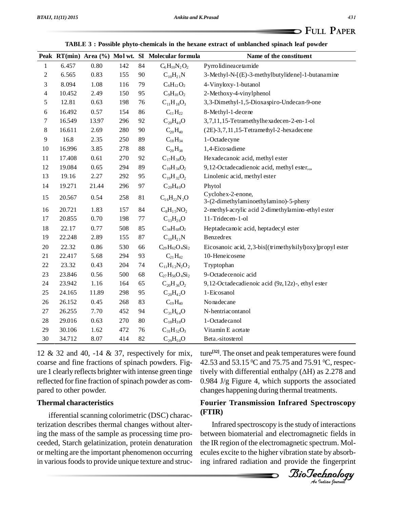|                  | тарые э , гозяют рную-сисписат ни не нелане сли асс от апонансией эршаси теат ромаст |       |     |        |                                                    |                                                            |  |  |  |
|------------------|--------------------------------------------------------------------------------------|-------|-----|--------|----------------------------------------------------|------------------------------------------------------------|--|--|--|
|                  |                                                                                      |       |     |        | Peak RT(min) Area (%) Mol wt. SI Molecular formula | Name of the constituent                                    |  |  |  |
| 1                | 6.457                                                                                | 0.80  | 142 | 84     | $C_6H_{10}N_2O_2$                                  | Pyrro lidineace tamide                                     |  |  |  |
| $\boldsymbol{2}$ | 6.565                                                                                | 0.83  | 155 | 90     | $C_{10}H_{21}N$                                    | 3-Methyl-N-[(E)-3-methylbutylidene]-1-butanamine           |  |  |  |
| 3                | 8.094                                                                                | 1.08  | 116 | 79     | $C_6H_{12}O_2$                                     | 4-Vinyloxy-1-butanol                                       |  |  |  |
| $\overline{4}$   | 10.452                                                                               | 2.49  | 150 | 95     | $C_9H_{10}O_2$                                     | 2-Methoxy-4-vinylphenol                                    |  |  |  |
| 5                | 12.81                                                                                | 0.63  | 198 | 76     | $C_{11}H_{18}O_3$                                  | 3,3-Dimethyl-1,5-Dioxaspiro-Undecan-9-one                  |  |  |  |
| 6                | 16.492                                                                               | 0.57  | 154 | 86     | $C_{11}H_{22}$                                     | 8-Methyl-1-decene                                          |  |  |  |
| $\tau$           | 16.549                                                                               | 13.97 | 296 | 92     | $C_{20}H_{40}O$                                    | 3,7,11,15-Tetramethylhexadecen-2-en-1-ol                   |  |  |  |
| 8                | 16.611                                                                               | 2.69  | 280 | 90     | $C_{20}H_{40}$                                     | (2E)-3,7,11,15-Tetramethyl-2-hexadecene                    |  |  |  |
| 9                | 16.8                                                                                 | 2.35  | 250 | 89     | $C_{18}H_{34}$                                     | 1-Octadecyne                                               |  |  |  |
| $10\,$           | 16.996                                                                               | 3.85  | 278 | $88\,$ | $C_{20}H_{38}$                                     | 1,4-Eico sadiene                                           |  |  |  |
| 11               | 17.408                                                                               | 0.61  | 270 | 92     | $C_{17}H_{34}O_2$                                  | Hexadecanoic acid, methyl ester                            |  |  |  |
| 12               | 19.084                                                                               | 0.65  | 294 | 89     | $C_{19}H_{34}O_2$                                  | 9,12-Octadecadienoic acid, methyl ester,,,                 |  |  |  |
| 13               | 19.16                                                                                | 2.27  | 292 | 95     | $C_{19}H_{32}O_2$                                  | Linolenic acid, methyl ester                               |  |  |  |
| 14               | 19.271                                                                               | 21.44 | 296 | 97     | $C_{20}H_{40}O$                                    | Phytol                                                     |  |  |  |
| 15               | 20.567                                                                               | 0.54  | 258 | $81\,$ | $C_{16}H_{22}N_{2}O$                               | Cyclohex-2-enone,<br>3-(2-dimethylaminoethylamino)-5-pheny |  |  |  |
| 16               | 20.721                                                                               | 1.83  | 157 | 84     | $C_8H_15NO_2$                                      | 2-methyl-acrylic acid 2-dimethylamino-ethyl ester          |  |  |  |
| 17               | 20.855                                                                               | 0.70  | 198 | 77     | $C_{13}H_{26}O$                                    | 11-Tridecen-1-ol                                           |  |  |  |
| 18               | 22.17                                                                                | 0.77  | 508 | 85     | $C_{34}H_{68}O_2$                                  | Heptadecanoic acid, heptadecyl ester                       |  |  |  |
| 19               | 22.248                                                                               | 2.89  | 155 | 87     | $C_{10}H_{21}N$                                    | Benzedrex                                                  |  |  |  |
| 20               | 22.32                                                                                | 0.86  | 530 | 66     | $C_{29}H_{62}O_4Si_2$                              | Eicosanoic acid, 2,3-bis[(trimethylsilyl) oxy]propyl ester |  |  |  |
| 21               | 22.417                                                                               | 5.68  | 294 | 93     | $C_{21}H_{42}$                                     | 10-Heneicosene                                             |  |  |  |
| 22               | 23.32                                                                                | 0.43  | 204 | 74     | $C_{11}H_{12}N_2O_2$                               | Tryptophan                                                 |  |  |  |
| 23               | 23.846                                                                               | 0.56  | 500 | 68     | $C_{27}H_{56}O_4Si_2$                              | 9-Octadecenoic acid                                        |  |  |  |
| 24               | 23.942                                                                               | 1.16  | 164 | 65     | $C_{20}H_{36}O_2$                                  | 9,12-Octadecadienoic acid (9z,12z)-, ethyl ester           |  |  |  |
| 25               | 24.165                                                                               | 11.89 | 298 | 95     | $C_{20}H_{42}O$                                    | 1-Eicosanol                                                |  |  |  |
| 26               | 26.152                                                                               | 0.45  | 268 | 83     | $C_{19}H_{40}$                                     | Nonadecane                                                 |  |  |  |
| 27               | 26.255                                                                               | 7.70  | 452 | 94     | $C_{31}H_{64}O$                                    | N-hentriacontanol                                          |  |  |  |
| 28               | 29.016                                                                               | 0.63  | 270 | 80     | $C_{18}H_{38}O$                                    | 1-Octadecanol                                              |  |  |  |
| 29               | 30.106                                                                               | 1.62  | 472 | 76     | $C_{31}H_{52}O_3$                                  | Vitamin E acetate                                          |  |  |  |
| 30               | 34.712                                                                               | 8.07  | 414 | 82     | $C_{29}H_{50}O$                                    | Beta.-sitosterol                                           |  |  |  |

**TABLE 3 : Possible phyto-chemicals in the hexane extract of unblanched spinach leaf powder**

12 & 32 and 40, -14 & 37, respectively for mix, coarse and fine fractions of spinach powders. Fig ure 1 clearly reflects brighter with intense green tinge tively with differential enthalpy  $(\Delta H)$  as 2.278 and reflected for fine fraction of spinach powder as compared to other powder.

#### **Thermal characteristics**

ifferential scanning colorimetric (DSC) characterization describes thermal changes without altering the mass of the sample as processing time pro ceeded, Starch gelatinization, protein denaturation or melting are the important phenomenon occurring in various foods to provide unique texture and struc-

ture **[32]**. The onset and peak temperatures were found 42.53 and 53.15  $\rm{^0C}$  and 75.75 and 75.91  $\rm{^0C}$ , respecture<sup>[32]</sup>. The onset and peak temperatures were found<br>42.53 and 53.15 °C and 75.75 and 75.91 °C, respec-<br>tively with differential enthalpy ( $\Delta H$ ) as 2.278 and 0.984 J/g Figure 4, which supports the associated changes happening during thermal treatments.

### BioTechnologyBioTechnology**Fourier Transmission Infrared Spectroscopy (FTIR)**

*An*Infrared spectroscopy isthe study of interactions between biomaterial and electromagnetic fields in the IR region of the electromagnetic spectrum. Mol ecules excite to the higher vibration state by absorbing infrared radiation and provide the fingerprint

*Indian Journal*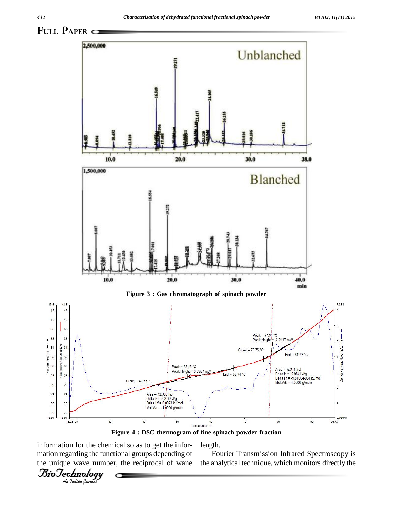

**Figure 4 : DSC thermogram of fine spinach powder fraction**

information for the chemical so as to get the infor mation regarding the functional groups depending of the unique wave number, the reciprocal of wane

*Indian Journal*

length.

Fourier Transmission Infrared Spectroscopy is the analytical technique, which monitors directly the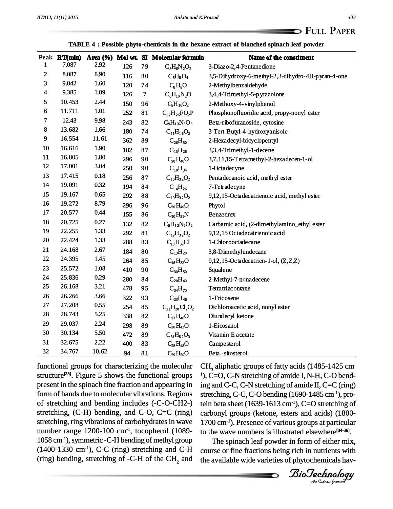|  |  | TABLE 4 : Possible phyto-chemicals in the hexane extract of blanched spinach leaf powder |  |  |
|--|--|------------------------------------------------------------------------------------------|--|--|
|--|--|------------------------------------------------------------------------------------------|--|--|

|                         |        |       |     |                | Peak RT(min) Area (%) Mol wt. SI Molecular formula | Name of the constituent                           |
|-------------------------|--------|-------|-----|----------------|----------------------------------------------------|---------------------------------------------------|
| 1                       | 7.087  | 2.92  | 126 | 79             | $C_5H_6N_2O_2$                                     | 3-Diazo-2,4-Pentanedione                          |
| $\boldsymbol{2}$        | 8.087  | 8.90  | 116 | 80             | $C_6H_8O_4$                                        | 3,5-Dihydroxy-6-methyl-2,3-dihydro-4H-pyran-4-one |
| 3                       | 9.042  | 1.60  | 120 | 74             | $C_8H_8O$                                          | 2-Methylbenzaldehyde                              |
| $\overline{\mathbf{4}}$ | 9.385  | 1.09  | 126 | $\overline{7}$ | $C_6H_{10}N_2O$                                    | 3,4,4-Trimethyl-5-pyrazolone                      |
| 5                       | 10.453 | 2.44  | 150 | 96             | $C_9H_{10}O_2$                                     | 2-Methoxy-4-vinylphenol                           |
| 6                       | 11.711 | 1.01  | 252 | 81             | $C_{12}H_{26}FO_2P$                                | Phosphonofluoridic acid, propy-nonyl ester        |
| $\overline{7}$          | 12.43  | 9.98  | 243 | 82             | $C_9H_{13}N_3O_5$                                  | Beta-ribofuranoside, cytosine                     |
| 8                       | 13.682 | 1.66  | 180 | 74             | $C_{11}H_{16}O_2$                                  | 3-Tert-Butyl-4-hydroxyanisole                     |
| 9                       | 16.554 | 11.61 | 362 | 89             | $C_{26}H_{50}$                                     | 2-Hexadecyl-bicyclopentyl                         |
| 10                      | 16.616 | 1.90  | 182 | 87             | $C_{13}H_{26}$                                     | 3,3,4-Trimethyl-1-decene                          |
| 11                      | 16.805 | 1.80  | 296 | 90             | $C_{20}H_{40}O$                                    | 3,7,11,15-Tetramethyl-2-hexadecen-1-ol            |
| 12                      | 17.001 | 3.04  | 250 | 90             | $C_{18}H_{34}$                                     | 1-Octadecyne                                      |
| 13                      | 17.415 | 0.18  | 256 | 87             | $C_{16}H_{32}O_2$                                  | Pentadecanoic acid, methyl ester                  |
| 14                      | 19.091 | 0.32  | 194 | 84             | $C_{14}H_{26}$                                     | 7-Tetradecyne                                     |
| 15                      | 19.167 | 0.65  | 292 | 88             | $C_{19}H_{32}O_2$                                  | 9,12,15-Octadecatrienoic acid, methyl ester       |
| 16                      | 19.272 | 8.79  | 296 | 96             | $C_{20}H_{40}O$                                    | Phytol                                            |
| 17                      | 20.577 | 0.44  | 155 | 86             | $C_{10}H_{21}N$                                    | Benzedrex                                         |
| 18                      | 20.725 | 0.27  | 132 | 82             | $C_5H_{12}N_2O_2$                                  | Carbamic acid, (2-dimethylamino_ethyl ester       |
| 19                      | 22.255 | 1.33  | 292 | 81             | $C_{19}H_{32}O_2$                                  | 9,12,15 Octadecatrienoic acid                     |
| 20                      | 22.424 | 1.33  | 288 | 83             | $C_{18}H_{37}Cl$                                   | 1-Chlorooctadecane                                |
| 21                      | 24.168 | 2.67  | 184 | 80             | $C_{13}H_{28}$                                     | 3,8-Dimethylundecane                              |
| 22                      | 24.395 | 1.45  | 264 | 85             | $C_{18}H_{32}O$                                    | 9,12,15-Octadecatrien-1-ol, (Z,Z,Z)               |
| 23                      | 25.572 | 1.08  | 410 | 90             | $C_{30}H_{50}$                                     | Squalene                                          |
| 24                      | 25.836 | 0.29  | 280 | 84             | $C_{20}H_{40}$                                     | 2-Methyl-7-nonadecene                             |
| 25                      | 26.168 | 3.21  | 478 | 95             | $C_{34}H_{70}$                                     | Tetratriacontane                                  |
| 26                      | 26.266 | 3.66  | 322 | 93             | $C_{23}H_{46}$                                     | 1-Tricosene                                       |
| 27                      | 27.208 | 0.55  | 254 | 85             | $C_{11}H_{20}Cl_{2}O_{2}$                          | Dichloroacetic acid, nonyl ester                  |
| 28                      | 28.743 | 5.25  | 338 | 82             | $C_{23}H_{46}O$                                    | Diumlecyl ketone                                  |
| 29                      | 29.037 | 2.24  | 298 | 89             | $C_{20}H_{42}O$                                    | 1-Eicosanol                                       |
| 30                      | 30.134 | 5.50  | 472 | 89             | $C_{31}H_{52}O_3$                                  | Vitamin E acetate                                 |
| 31                      | 32.675 | 2.22  | 400 | 83             | $C_{28}H_{48}O$                                    | Campesterol                                       |
| 32                      | 34.767 | 10.62 | 94  | 81             | $C_{29}H_{50}O$                                    | Beta.-sitosterol                                  |

functional groups for characterizing the molecular structure<sup>[33]</sup>. Figure 5 shows the functional groups  $\,$  <sup>1</sup>), C present in the spinach fine fraction and appearing in form of bands due to molecular vibrations. Regions of stretching and bending includes (-C-O-CH2-) stretching, (C-H) bending, and C-O, C=C (ring) stretching, ring vibrations of carbohydrates in wave number range  $1200 - 100$  cm<sup>-1</sup>, tocopherol (1089- to t 1058 cm-1), symmetric -C-H bending of methyl group  $(1400-1330 \text{ cm}^{-1})$ , C-C (ring) stretching and C-H (ring) bending, stretching of -C-H of the  $\text{CH}_2$  and

biotechnig,  $\geq 0$ ,  $\geq 0$  betaing (1999) 1109 cm<sup>-1</sup>),  $C=O$  stretching of *An*to the wave numbers is illustrated elsewhere **[34-36]**.  $CH<sub>3</sub>$  aliphatic groups of fatty acids (1485-1425 cm  $1$ ), C=O, C-N stretching of amide I, N-H, C-O bending and C-C, C-N stretching of amide II, C=C (ring) stretching, C-C, C-O bending (1690-1485 cm<sup>-1</sup>), procarbonyl groups (ketone, esters and acids) (1800- 1700 cm-1). Presence of various groups at particular

 and the available wide varieties of phytochemicals hav-The spinach leaf powder in form of either mix, course or fine fractions being rich in nutrients with

*Indian Journal*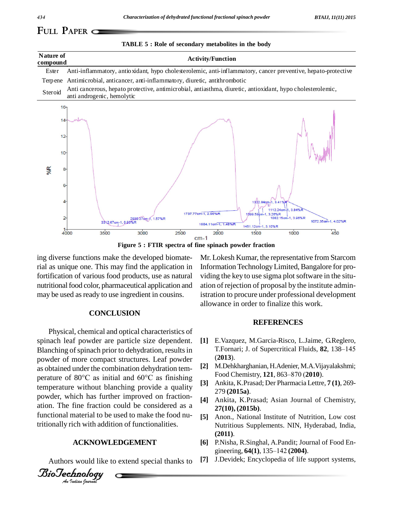**TABLE 5 : Role of secondary metabolites in the body**

## **FULL PAPER**

| Nature of<br>compound | <b>Activity/Function</b>                                                                                                                                                            |
|-----------------------|-------------------------------------------------------------------------------------------------------------------------------------------------------------------------------------|
| Ester                 | Anti-inflammatory, antioxidant, hypo cholesterolemic, anti-inflammatory, cancer preventive, hepato-protective                                                                       |
| Terpene               | Antimicrobial, anticancer, anti-inflammatory, diuretic, antithrombotic                                                                                                              |
| Steroid               | Anti cancerous, hepato protective, antimicrobial, antiasthma, diuretic, antioxidant, hypo cholesterolemic,<br>anti androgenic, hemolytic                                            |
| 16 <sub>1</sub>       |                                                                                                                                                                                     |
| 14                    |                                                                                                                                                                                     |
| $12-$                 |                                                                                                                                                                                     |
| $10 -$                |                                                                                                                                                                                     |
| %R<br>$8 -$           |                                                                                                                                                                                     |
| 6                     |                                                                                                                                                                                     |
| 4                     | 322 84cm-1 3.41%R<br>1112.24cm-1, 3.84%R                                                                                                                                            |
| $\overline{2}$        | 1737.77cm-1, 2.96%R<br>1399.59cm-1, 3.26%R<br>1082.15cm-1, 3.96%R<br>2930:37cm-1, 1.57%R<br>3312.67cm-1, 0,93%R<br>1072.35cm-1.4.02%R<br>1664.11cm-1, 1.48%R<br>1451.12cm-1, 3.10%R |
|                       | $1+$<br>450<br>2500<br>3000<br>3500<br>1000<br>2000<br>1500<br>4000<br>$cm-1$                                                                                                       |

**Figure 5 : FTIR spectra of fine spinach powder fraction**

ing diverse functions make the developed biomaterial as unique one. This may find the application in fortification of various food products, use as natural nutritional food color, pharmaceutical application and may be used as ready to use ingredient in cousins.

#### **CONCLUSION**

powder, which has further improved on fraction-<br>ation. The fine fraction could be considered as a *An*tritionally rich with addition of functionalities. Physical, chemical and optical characteristics of spinach leaf powder are particle size dependent. Blanching of spinach prior to dehydration, results in T.Fornari; J. of Supercritical Fluids, 82, 138–145 powder of more compact structures. Leaf powder as obtained under the combination dehydration tem perature of 80 $^{\circ}$ C as initial and 60 $^{\circ}$ C as finishing Food Chemistry, 121, 863–870 (2010). temperature without blanching provide a quality powder, which has further improved on fraction functional material to be used to make the food nu-

#### **ACKNOWLEDGEMENT**

*Indian Journal*

Authors would like to extend special thanks to [7]

Mr. Lokesh Kumar, the representative from Starcom InformationTechnologyLimited,Bangalore for pro viding the key to use sigma plot software in the situation of rejection of proposal by the institute administration to procure under professional development allowance in order to finalize this work.

#### **REFERENCES**

- **[1]** E.Vazquez, M.Garcia-Risco, L.Jaime, G.Reglero, E.Vazquez, M.Garcia-Risco, L.Jaime, G.Reglero,<br>T.Fornari; J. of Supercritical Fluids, **82**, 138–145 (**2013**).
- **[2]** M.Dehkharghanian,H.Adenier, M.A.Vijayalakshmi; (**2013**).<br>M.Dehkharghanian, H.Adenier, M.A.Vijayala<br>Food Chemistry, **121**, 863–870 (**2010**).
- **[3]** Ankita, K.Prasad; Der Pharmacia Lettre, **7 (1)**, 269- 279 **(2015a)**.
- **[4]** Ankita, K.Prasad; Asian Journal of Chemistry, **27(10), (2015b)**.
- **[5]** Anon., National Institute of Nutrition, Low cost Nutritious Supplements. NIN, Hyderabad, India, Ankita, K.P.<br>Ankita, K.P.<br>279 (**2015a**)<br>Ankita, K.I.<br>**27(10), (2011)**.<br>(**2011)**.
- **[6]** P.Nisha, R.Singhal, A.Pandit; Journal of Food En- (**2011**).<br>P.Nisha, R.Singhal, A.Pandit; Journal<br>gineering, **64**(1), 135–142 (**2004**).
- **[7]** J.Devidek; Encyclopedia of life support systems,